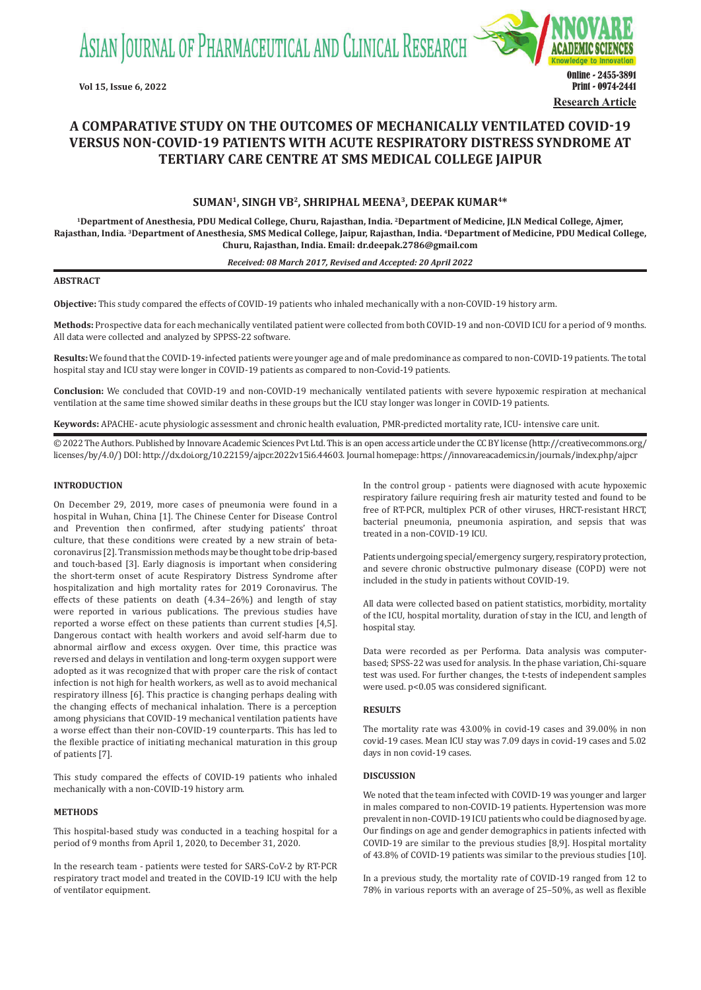ASIAN JOURNAL OF PHARMACEUTICAL AND CLINICAL RESEARCH



# **A COMPARATIVE STUDY ON THE OUTCOMES OF MECHANICALLY VENTILATED COVID-19 VERSUS NON-COVID-19 PATIENTS WITH ACUTE RESPIRATORY DISTRESS SYNDROME AT TERTIARY CARE CENTRE AT SMS MEDICAL COLLEGE JAIPUR**

# **SUMAN<sup>1</sup>, SINGH VB2, SHRIPHAL MEENA3, DEEPAK KUMAR4\***

**<sup>1</sup>Department of Anesthesia, PDU Medical College, Churu, Rajasthan, India. 2Department of Medicine, JLN Medical College, Ajmer, Rajasthan, India. 3Department of Anesthesia, SMS Medical College, Jaipur, Rajasthan, India. 4Department of Medicine, PDU Medical College, Churu, Rajasthan, India. Email: dr.deepak.2786@gmail.com**

### *Received: 08 March 2017, Revised and Accepted: 20 April 2022*

## **ABSTRACT**

**Objective:** This study compared the effects of COVID-19 patients who inhaled mechanically with a non-COVID-19 history arm.

**Methods:** Prospective data for each mechanically ventilated patient were collected from both COVID-19 and non-COVID ICU for a period of 9 months. All data were collected and analyzed by SPPSS-22 software.

**Results:** We found that the COVID-19-infected patients were younger age and of male predominance as compared to non-COVID-19 patients. The total hospital stay and ICU stay were longer in COVID-19 patients as compared to non-Covid-19 patients.

**Conclusion:** We concluded that COVID-19 and non-COVID-19 mechanically ventilated patients with severe hypoxemic respiration at mechanical ventilation at the same time showed similar deaths in these groups but the ICU stay longer was longer in COVID-19 patients.

**Keywords:** APACHE- acute physiologic assessment and chronic health evaluation, PMR-predicted mortality rate, ICU- intensive care unit.

© 2022 The Authors. Published by Innovare Academic Sciences Pvt Ltd. This is an open access article under the CC BY license (http://creativecommons.org/ licenses/by/4.0/) DOI: http://dx.doi.org/10.22159/ajpcr.2022v15i6.44603. Journal homepage: https://innovareacademics.in/journals/index.php/ajpcr

## **INTRODUCTION**

On December 29, 2019, more cases of pneumonia were found in a hospital in Wuhan, China [1]. The Chinese Center for Disease Control and Prevention then confirmed, after studying patients' throat culture, that these conditions were created by a new strain of betacoronavirus [2]. Transmission methods may be thought to be drip-based and touch-based [3]. Early diagnosis is important when considering the short-term onset of acute Respiratory Distress Syndrome after hospitalization and high mortality rates for 2019 Coronavirus. The effects of these patients on death (4.34–26%) and length of stay were reported in various publications. The previous studies have reported a worse effect on these patients than current studies [4,5]. Dangerous contact with health workers and avoid self-harm due to abnormal airflow and excess oxygen. Over time, this practice was reversed and delays in ventilation and long-term oxygen support were adopted as it was recognized that with proper care the risk of contact infection is not high for health workers, as well as to avoid mechanical respiratory illness [6]. This practice is changing perhaps dealing with the changing effects of mechanical inhalation. There is a perception among physicians that COVID-19 mechanical ventilation patients have a worse effect than their non-COVID-19 counterparts. This has led to the flexible practice of initiating mechanical maturation in this group of patients [7].

This study compared the effects of COVID-19 patients who inhaled mechanically with a non-COVID-19 history arm.

## **METHODS**

This hospital-based study was conducted in a teaching hospital for a period of 9 months from April 1, 2020, to December 31, 2020.

In the research team - patients were tested for SARS-CoV-2 by RT-PCR respiratory tract model and treated in the COVID-19 ICU with the help of ventilator equipment.

In the control group - patients were diagnosed with acute hypoxemic respiratory failure requiring fresh air maturity tested and found to be free of RT-PCR, multiplex PCR of other viruses, HRCT-resistant HRCT, bacterial pneumonia, pneumonia aspiration, and sepsis that was treated in a non-COVID-19 ICU.

Patients undergoing special/emergency surgery, respiratory protection, and severe chronic obstructive pulmonary disease (COPD) were not included in the study in patients without COVID-19.

All data were collected based on patient statistics, morbidity, mortality of the ICU, hospital mortality, duration of stay in the ICU, and length of hospital stay.

Data were recorded as per Performa. Data analysis was computerbased; SPSS-22 was used for analysis. In the phase variation, Chi-square test was used. For further changes, the t-tests of independent samples were used. p<0.05 was considered significant.

### **RESULTS**

The mortality rate was 43.00% in covid-19 cases and 39.00% in non covid-19 cases. Mean ICU stay was 7.09 days in covid-19 cases and 5.02 days in non covid-19 cases.

## **DISCUSSION**

We noted that the team infected with COVID-19 was younger and larger in males compared to non-COVID-19 patients. Hypertension was more prevalent in non-COVID-19 ICU patients who could be diagnosed by age. Our findings on age and gender demographics in patients infected with COVID-19 are similar to the previous studies [8,9]. Hospital mortality of 43.8% of COVID-19 patients was similar to the previous studies [10].

In a previous study, the mortality rate of COVID-19 ranged from 12 to 78% in various reports with an average of 25–50%, as well as flexible